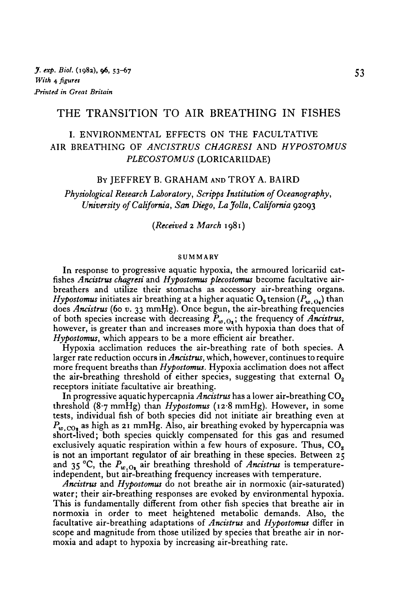# THE TRANSITION TO AIR BREATHING IN FISHES

# I. ENVIRONMENTAL EFFECTS ON THE FACULTATIVE AIR BREATHING OF *ANCISTRUS CHAGRESI* AND *HYPOSTOMUS PLECOSTOMUS* (LORICARIIDAE)

#### BY JEFFREY B. GRAHAM AND TROY A. BAIRD

*Physiological Research Laboratory, Scripps Institution of Oceanography, University of California, San Diego, La folia, California* 92093

*(Received* 2 *March* 1981)

#### SUMMARY

In response to progressive aquatic hypoxia, the armoured loricariid cat fishes *Ancistrus chagresi* and *Hypostomus plecostomus* become facultative airbreathers and utilize their stomachs as accessory air-breathing organs. *Hypostomus* initiates air breathing at a higher aquatic O<sub>2</sub> tension ( $P_w$ ,  $_0$ ,) than does *Ancistrus* (60 *v.* 33 mmHg). Once begun, the air-breathing frequencies of both species increase with decreasing  $P_{w,0}$ ; the frequency of *Ancistrus*, however, is greater than and increases more with hypoxia than does that of *Hypostomus,* which appears to be a more efficient air breather.

Hypoxia acclimation reduces the air-breathing rate of both species. A larger rate reduction occurs in *Ancistrus,* which, however, continues to require more frequent breaths than *Hypostomus.* Hypoxia acclimation does not affect the air-breathing threshold of either species, suggesting that external  $O_2$ receptors initiate facultative air breathing.

In progressive aquatic hypercapnia *Ancistrus* has a lower air-breathing CO<sub>2</sub> threshold (87 mmHg) than *Hypostomus* (12-8 mmHg). However, in some tests, individual fish of both species did not initiate air breathing even at  $P_{w.\text{CO}_1}$  as high as 21 mmHg. Also, air breathing evoked by hypercapnia was short-lived; both species quickly compensated for this gas and resumed exclusively aquatic respiration within a few hours of exposure. Thus,  $CO<sub>2</sub>$ is not an important regulator of air breathing in these species. Between 25 and 35 °C, the  $P_{w, O_2}$  air breathing threshold of *Ancistrus* is temperature-<br>independent, but air-breathing frequency increases with temperature.

*Ancistrus* and *Hypostomus* do not breathe air in normoxic (air-saturated) water; their air-breathing responses are evoked by environmental hypoxia. This is fundamentally different from other fish species that breathe air in normoxia in order to meet heightened metabolic demands. Also, the facultative air-breathing adaptations of *Ancistrus* and *Hypostomus* differ in scope and magnitude from those utilized by species that breathe air in nor- moxia and adapt to hypoxia by increasing air-breathing rate.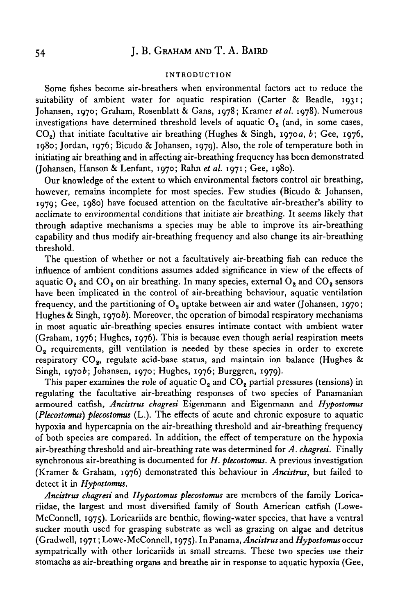### **INTRODUCTION**

Some fishes become air-breathers when environmental factors act to reduce the suitability of ambient water for aquatic respiration (Carter & Beadle, 1931; Johansen, 1970; Graham, Rosenblatt & Gans, 1978; Kramer *etal.* 1978). Numerous investigations have determined threshold levels of aquatic  $O_2$  (and, in some cases, CO2) that initiate facultative air breathing (Hughes & Singh, 1970a, *b;* Gee, 1976, 1980; Jordan, 1976; Bicudo & Johansen, 1979). Also, the role of temperature both in initiating air breathing and in affecting air-breathing frequency has been demonstrated (Johansen, Hanson & Lenfant, 1970; Rahn *et al.* 1971; Gee, 1980).

Our knowledge of the extent to which environmental factors control air breathing, however, remains incomplete for most species. Few studies (Bicudo & Johansen, 1979; Gee, 1980) have focused attention on the facultative air-breather's ability to acclimate to environmental conditions that initiate air breathing. It seems likely that through adaptive mechanisms a species may be able to improve its air-breathing capability and thus modify air-breathing frequency and also change its air-breathing threshold.

The question of whether or not a facultatively air-breathing fish can reduce the influence of ambient conditions assumes added significance in view of the effects of aquatic  $O_2$  and  $CO_2$  on air breathing. In many species, external  $O_2$  and  $CO_2$  sensors have been implicated in the control of air-breathing behaviour, aquatic ventilation frequency, and the partitioning of  $O<sub>2</sub>$  uptake between air and water (Johansen, 1970; Hughes & Singh, 1970 $b$ ). Moreover, the operation of bimodal respiratory mechanisms in most aquatic air-breathing species ensures intimate contact with ambient water (Graham, 1976; Hughes, 1976). This is because even though aerial respiration meets  $O<sub>2</sub>$  requirements, gill ventilation is needed by these species in order to excrete respiratory CO<sub>2</sub>, regulate acid-base status, and maintain ion balance (Hughes & Singh, 1970b; Johansen, 1970; Hughes, 1976; Burggren, 1979).

This paper examines the role of aquatic  $O_2$  and  $CO_2$  partial pressures (tensions) in regulating the facultative air-breathing responses of two species of Panamanian armoured catfish, *Ancistrus chagresi* Eigenmann and Eigenmann and *Hypostomus (Plecostomus) plecostomus* (L.). The effects of acute and chronic exposure to aquatic hypoxia and hypercapnia on the air-breathing threshold and air-breathing frequency of both species are compared. In addition, the effect of temperature on the hypoxia air-breathing threshold and air-breathing rate was determined for *A. chagresi.* Finally synchronous air-breathing is documented for *H. plecostomus.* A previous investigation (Kramer & Graham, 1976) demonstrated this behaviour in *Ancistrus,* but failed to detect it in *Hypostomus.*

*Ancistrus chagresi* and *Hypostomus plecostomus* are members of the family Loricariidae, the largest and most diversified family of South American catfish (Lowe-McConnell, 1975). Loricariids are benthic, flowing-water species, that have a ventral sucker mouth used for grasping substrate as well as grazing on algae and detritus (Gradwell, 1971; Lowe-McConnell, 1975). In Panama, *Ancistrus* and *Hypostomus* occur sympatrically with other loricariids in small streams. These two species use their stomachs as air-breathing organs and breathe air in response to aquatic hypoxia (Gee,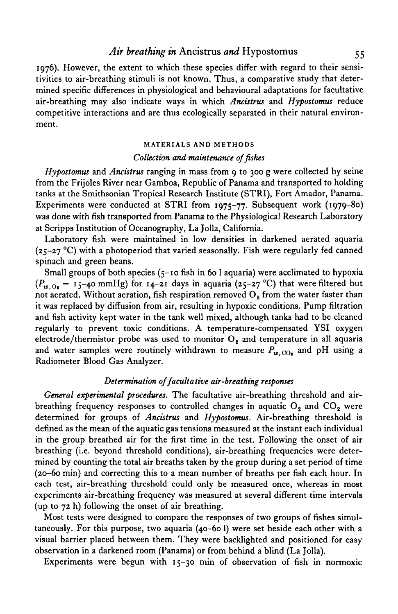# *Air breathing in* Ancistrus *and* Hypostomus 55

1976). However, the extent to which these species differ with regard to their sensitivities to air-breathing stimuli is not known. Thus, a comparative study that determined specific differences in physiological and behavioural adaptations for facultative air-breathing may also indicate ways in which *Ancistrus* and *Hypostomus* reduce competitive interactions and are thus ecologically separated in their natural environment.

### **MATERIALS AND METHODS**

## *Collection and maintenance of fishes*

*Hypostomus* and *Ancistrus* ranging in mass from 9 to 300 g were collected by seine from the Frijoles River near Gamboa, Republic of Panama and transported to holding tanks at the Smithsonian Tropical Research Institute (STRI), Fort Amador, Panama. Experiments were conducted at STRI from 1975-77. Subsequent work (1979-80) was done with fish transported from Panama to the Physiological Research Laboratory at Scripps Institution of Oceanography, La Jolla, California.

Laboratory fish were maintained in low densities in darkened aerated aquaria ( $25-27$  °C) with a photoperiod that varied seasonally. Fish were regularly fed canned spinach and green beans.

Small groups of both species (5-10 fish in 60 1 aquaria) were acclimated to hypoxia  $(P_{w,0} = 15-40$  mmHg) for  $14-21$  days in aquaria  $(25-27 \text{ °C})$  that were filtered but not aerated. Without aeration, fish respiration removed  $O<sub>2</sub>$  from the water faster than it was replaced by diffusion from air, resulting in hypoxic conditions. Pump filtration and fish activity kept water in the tank well mixed, although tanks had to be cleaned regularly to prevent toxic conditions. A temperature-compensated YSI oxygen electrode/thermistor probe was used to monitor  $O_3$  and temperature in all aquaria and water samples were routinely withdrawn to measure  $P_{w,CO_2}$  and pH using a Radiometer Blood Gas Analyzer.

## *Determination of facultative air-breathing responses*

*General experimental procedures.* The facultative air-breathing threshold and airbreathing frequency responses to controlled changes in aquatic  $O_2$  and  $CO_2$  were determined for groups of *Ancistrus* and *Hypostomus.* Air-breathing threshold is defined as the mean of the aquatic gas tensions measured at the instant each individual in the group breathed air for the first time in the test. Following the onset of air breathing (i.e. beyond threshold conditions), air-breathing frequencies were determined by counting the total air breaths taken by the group during a set period of time (20-60 min) and correcting this to a mean number of breaths per fish each hour. In each test, air-breathing threshold could only be measured once, whereas in most experiments air-breathing frequency was measured at several different time intervals (up to 72 h) following the onset of air breathing.

Most tests were designed to compare the responses of two groups of fishes simultaneously. For this purpose, two aquaria (40-60 1) were set beside each other with a visual barrier placed between them. They were backlighted and positioned for easy observation in a darkened room (Panama) or from behind a blind (La Jolla).

Experiments were begun with 15-30 min of observation of fish in normoxic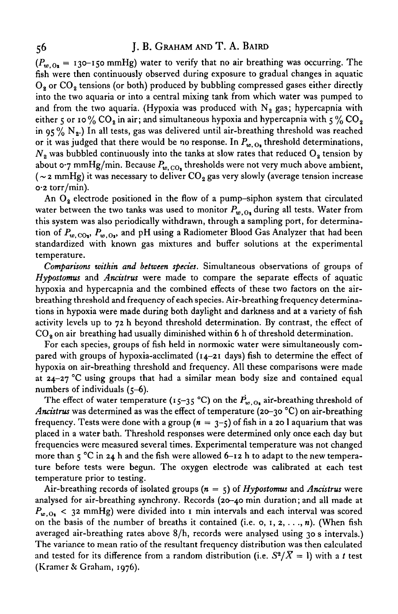# 56 J. B. GRAHAM AND T. A. BAIRD

 $(P_{w_0}) = 130$ -150 mmHg) water to verify that no air breathing was occurring. The fish were then continuously observed during exposure to gradual changes in aquatic O<sub>2</sub> or CO<sub>2</sub> tensions (or both) produced by bubbling compressed gases either directly into the two aquaria or into a central mixing tank from which water was pumped to and from the two aquaria. (Hypoxia was produced with  $N<sub>2</sub>$  gas; hypercapnia with either 5 or 10 %  $CO_2$  in air; and simultaneous hypoxia and hypercapnia with 5 %  $CO_2$ in  $95\%$  N<sub>2</sub>.) In all tests, gas was delivered until air-breathing threshold was reached or it was judged that there would be no response. In  $P_{w, 0}$ , threshold determinations,  $N<sub>2</sub>$  was bubbled continuously into the tanks at slow rates that reduced  $O<sub>2</sub>$  tension by about 0.7 mmHg/min. Because  $P_{w,CO_2}$  thresholds were not very much above ambient, ( $\sim$  2 mmHg) it was necessary to deliver CO<sub>2</sub> gas very slowly (average tension increase 0-2 torr/min).

An  $O_2$  electrode positioned in the flow of a pump-siphon system that circulated water between the two tanks was used to monitor  $P_{w,0}$ , during all tests. Water from this system was also periodically withdrawn, through a sampling port, for determination of  $P_{w, \text{CO}_1}$ ,  $P_{w, \text{O}_2}$ , and pH using a Radiometer Blood Gas Analyzer that had been standardized with known gas mixtures and buffer solutions at the experimental temperature.

*Comparisons within and between species.* Simultaneous observations of groups of *Hypostomus* and *Ancistrus* were made to compare the separate effects of aquatic hypoxia and hypercapnia and the combined effects of these two factors on the airbreathing threshold and frequency of each species. Air-breathing frequency determinations in hypoxia were made during both daylight and darkness and at a variety of fish activity levels up to 72 h beyond threshold determination. By contrast, the effect of  $CO<sub>3</sub>$  on air breathing had usually diminished within 6 h of threshold determination.

For each species, groups of fish held in normoxic water were simultaneously compared with groups of hypoxia-acclimated  $(14-21)$  days) fish to determine the effect of hypoxia on air-breathing threshold and frequency. All these comparisons were made at  $24-27$  °C using groups that had a similar mean body size and contained equal numbers of individuals (5-6).

The effect of water temperature (15-35 °C) on the  $\vec{P}_{w, 0}$  air-breathing threshold of *Ancistrus* was determined as was the effect of temperature (20-30 °C) on air-breathing frequency. Tests were done with a group  $(n = 3-5)$  of fish in a 20 l aquarium that was placed in a water bath. Threshold responses were determined only once each day but frequencies were measured several times. Experimental temperature was not changed more than  $5^{\circ}$ C in 24 h and the fish were allowed 6-12 h to adapt to the new temperature before tests were begun. The oxygen electrode was calibrated at each test temperature prior to testing.

Air-breathing records of isolated groups (n = 5) of *Hypostomus* and *Ancistrus* were analysed for air-breathing synchrony. Records (20-40 min duration; and all made at *Pw.Oi* < 3<sup>2</sup> mmHg) were divided into 1 min intervals and each interval was scored on the basis of the number of breaths it contained (i.e.  $o, 1, 2, \ldots, n$ ). (When fish averaged air-breathing rates above 8/h, records were analysed using 30 s intervals.) The variance to mean ratio of the resultant frequency distribution was then calculated and tested for its difference from a random distribution (i.e.  $S^{\mathbf{z}}/ \bar{X} = 1$ ) with a  $t$  test (Kramer & Graham, 1976).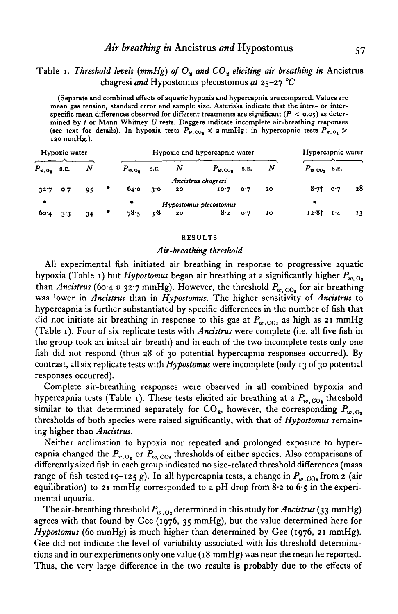# Table 1. Threshold levels (mmHg) of  $O_2$  and  $CO_3$  eliciting air breathing in Ancistrus chagresi *and* Hypostomus plecostomus *at* 25-27 *°C*

**(Separate and combined effects of aquatic hypoxia and hypercapnia are compared. Values are mean gas tension, standard error and sample size. Asterisks indicate that the intra- or interspecific mean differences observed for different treatments are significant** *(P <* **0.05) as determined by** *t* **or Mann Whitney** *U* **tests. Daggers indicate incomplete air-breathing responses** (see text for details). In hypoxia tests  $P_{\mathbf{w},\mathbf{O_0}} \leq 2 \text{ mmHg}$ ; in hypercapnic tests  $P_{\mathbf{w},\mathbf{O_1}} \geq$ **iao mmHg.).**

| Hypoxic water        |     |    |   | Hypoxic and hypercapnic water |           |          |                          |     |    |                          | Hypercapnic water |    |  |
|----------------------|-----|----|---|-------------------------------|-----------|----------|--------------------------|-----|----|--------------------------|-------------------|----|--|
| $P_{\omega, 0}$ s.e. |     | N  |   | $P_{\infty, 0}$ s.e.          |           | N        | $P_{w,\text{CO}_2}$ S.E. |     | Ν  | $P_{w \text{CO}_2}$ 8.E. |                   |    |  |
|                      |     |    |   |                               |           |          | Ancistrus chagresi       |     |    |                          |                   |    |  |
|                      | 0.7 | 95 | ٠ | 64.0                          | $3^\circ$ | 20       | 10.7                     | O.7 | 20 | 8.7                      | 0.7               | 28 |  |
| ۰                    |     |    |   | Hypostomus plecostomus        |           |          |                          |     |    |                          |                   |    |  |
| 60.4                 | 3.3 | 34 |   | 78.5                          |           | $3.8$ 20 | 8.2                      | O.7 | 20 | 12.8t                    | $I^4$             | 13 |  |

#### **RESULTS**

#### *Air-breathing threshold*

All experimental fish initiated air breathing in response to progressive aquatic hypoxia (Table 1) but *Hypostomus* began air breathing at a significantly higher  $P_{w,0}$ , than *Ancistrus* (60.4 v 32.7 mmHg). However, the threshold  $P_{w,CO_6}$  for air breathing was lower in *Ancistrus* than in *Hypostomus.* The higher sensitivity of *Ancistrus* to hypercapnia is further substantiated by specific differences in the number of fish that did not initiate air breathing in response to this gas at  $P_{w, CO_2}$  as high as 21 mmHg (Table 1). Four of six replicate tests with *Ancistrus* were complete (i.e. all five fish in the group took an initial air breath) and in each of the two incomplete tests only one fish did not respond (thus 28 of 30 potential hypercapnia responses occurred). By contrast, all six replicate tests with *Hypostomus* were incomplete (only 13 of 30 potential responses occurred).

Complete air-breathing responses were observed in all combined hypoxia and hypercapnia tests (Table 1). These tests elicited air breathing at a  $P_{w,CO_1}$  threshold similar to that determined separately for  $CO_2$ , however, the corresponding  $P_{w,O_2}$ thresholds of both species were raised significantly, with that of *Hypostomus* remaining higher than *Ancistrus.*

Neither acclimation to hypoxia nor repeated and prolonged exposure to hypercapnia changed the  $P_{w, O_t}$  or  $P_{w, CO_2}$  thresholds of either species. Also comparisons of differently sized fish in each group indicated no size-related threshold differences (mass range of fish tested 19-125 g). In all hypercapnia tests, a change in  $P_{w,CO_2}$  from 2 (air equilibration) to 21 mmHg corresponded to a pH drop from  $8.2$  to  $6.5$  in the experimental aquaria.

The air-breathing threshold  $P_{w, 0}$  determined in this study for *Ancistrus* (33 mmHg) agrees with that found by Gee (1976, 35 mmHg), but the value determined here for *Hypostomus* (60 mmHg) is much higher than determined by Gee (1976, 21 mmHg). Gee did not indicate the level of variability associated with his threshold determinations and in our experiments only one value (18 mmHg) was near the mean he reported. Thus, the very large difference in the two results is probably due to the effects of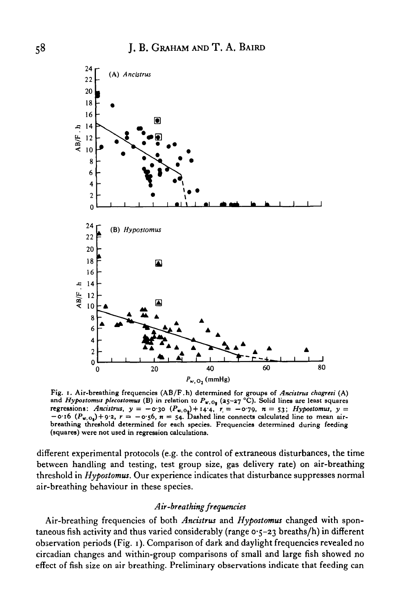

**Fig. i. Air-breathing frequencies (AB/F.h) determined for groups of** *Ancistrus chagresi* **(A)** and *Hypostomus plecostomus* (B) in relation to  $P_{\kappa, 0}$  (25-27 °C). Solid lines are least squares *regressions: Ancistrus, y = -0.30*  $(P_{w,0_2})+14.4$ ,  $r = -0.79$ ,  $n = 53$ ; *Hypostomus, y =*  $-$  0.16  $(P_{w, 0<sub>1</sub>})$  + 9.2,  $r = -0.56$ ,  $n = 54$ . Dashed line connects calculated line to mean air**breathing threshold determined for each species. Frequencies determined during feeding (squares) were not used in regression calculations.**

different experimental protocols (e.g. the control of extraneous disturbances, the time between handling and testing, test group size, gas delivery rate) on air-breathing threshold in *Hypostomus.* Our experience indicates that disturbance suppresses normal air-breathing behaviour in these species.

### *Air-breathing frequencies*

Air-breathing frequencies of both *Ancistrus* and *Hypostomus* changed with spontaneous fish activity and thus varied considerably (range  $o·5-23$  breaths/h) in different observation periods (Fig. 1). Comparison of dark and daylight frequencies revealed no circadian changes and within-group comparisons of small and large fish showed no effect of fish size on air breathing. Preliminary observations indicate that feeding can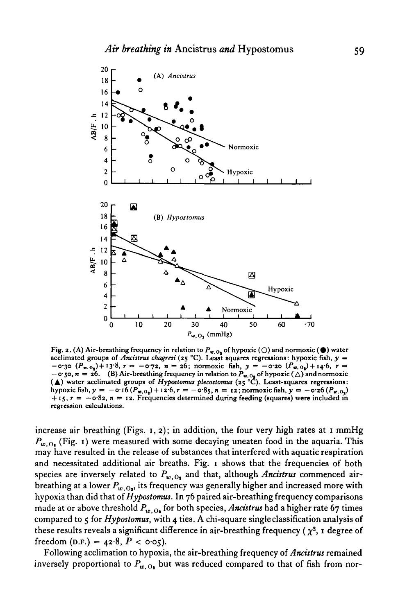

Fig. 2. (A) Air-breathing frequency in relation to  $P_{\mathbf{x},\mathbf{0}_2}$  of hypoxic ( $\bigcirc$ ) and normoxic ( $\bullet$ ) water acclimated groups of *Ancistrus chagress* (25 °C). Least squares regressions: hypoxic fish,  $y =$  $-$ 0.30  $(P_{\mathbf{w},0_{\mathbf{g}}})+13.8$ ,  $\mathbf{r}=-0.72$ ,  $\mathbf{n}=26$ ; normoxic fish,  $\mathbf{y}=-0.20$   $(P_{\mathbf{w},0_{\mathbf{g}}})+14.6$ ,  $\mathbf{r}=$  $-$ o·50,  $n = 26$ . (B) Air-breathing frequency in relation to  $P_{w, 0}$  of hypoxic ( $\triangle$ ) and normoxic ( $\triangle$ ) water acclimated groups of *Hypostomus plecostomus* ( $z_5$ °C). Least-squares regressions:<br>hypoxic fish,  $y = -0.16$ **+ 15, r = —0-82,** *n* **= 12. Frequencies determined during feeding (squares) were included in regression calculations.**

increase air breathing (Figs. 1,2); in addition, the four very high rates at 1 mmHg  $P_{w,0}$  (Fig. 1) were measured with some decaying uneaten food in the aquaria. This may have resulted in the release of substances that interfered with aquatic respiration and necessitated additional air breaths. Fig. 1 shows that the frequencies of both species are inversely related to  $P_{w, O_1}$  and that, although Ancistrus commenced airbreathing at a lower  $P_{w_0, 0}$ , its frequency was generally higher and increased more with hypoxia than did that of *Hypostomus.* In 76 paired air-breathing frequency comparisons made at or above threshold  $P_{w,0}$ , for both species, *Ancistrus* had a higher rate 67 times compared to 5 for *Hypostomus,* with 4 ties. A chi-square single classification analysis of these results reveals a significant difference in air-breathing frequency ( $\chi^2$ , 1 degree of freedom (D.F.) =  $42.8$ ,  $P < \text{o} \cdot \text{o}$ <sub>5</sub>).

Following acclimation to hypoxia, the air-breathing frequency of *Ancistrus* remained inversely proportional to  $P_{w, O_1}$  but was reduced compared to that of fish from nor-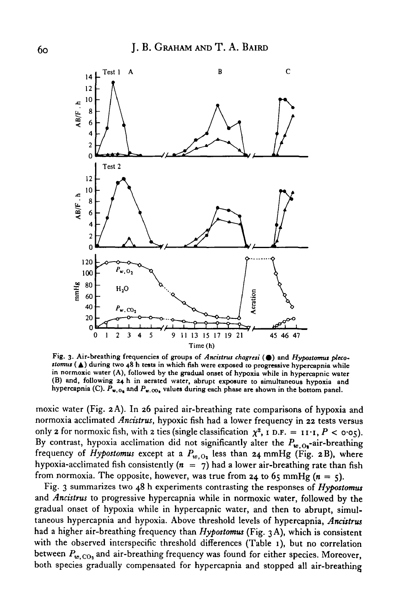

Fig. 3. Air-breathing frequencies of groups of Ancistrus chagresi ( $\bullet$ ) and Hypostomus pleco*stomus* **(A) during two 48 h teats in which fish were exposed co progressive hypercapnia while in normoxic water (A), followed by the gradual onset of hypoxia while in hypercapnic water (B) and, following 24 h in aerated water, abrupt exposure to simultaneous hypoxia and** hypercapnia (C).  $P_{\mathbf{x},O_{\mathbf{x}}}$  and  $P_{\mathbf{x},O_{\mathbf{y}}}$  values during each phase are shown in the bottom panel.

moxic water (Fig. 2 A). In 26 paired air-breathing rate comparisons of hypoxia and normoxia acclimated *Ancistrus,* hypoxic fish had a lower frequency in 22 tests versus only 2 for normoxic fish, with 2 ties (single classification  $\chi^2$ ,  $I$  D.F. =  $I$ I·I,  $P < \text{o·o}_5$ ). By contrast, hypoxia acclimation did not significantly alter the  $P_{w, Q_1}$ -air-breathing frequency of *Hypostomus* except at a  $P_{w, O_2}$  less than 24 mmHg (Fig. 2B), where hypoxia-acclimated fish consistently  $(n = 7)$  had a lower air-breathing rate than fish from normoxia. The opposite, however, was true from 24 to 65 mmHg ( $n = 5$ ).

Fig. 3 summarizes two 48 h experiments contrasting the responses of *Hypostomus* and *Ancistrus* to progressive hypercapnia while in normoxic water, followed by the gradual onset of hypoxia while in hypercapnic water, and then to abrupt, simultaneous hypercapnia and hypoxia. Above threshold levels of hypercapnia, *Ancistrus* had a higher air-breathing frequency than *Hypostomus* (Fig. 3 A), which is consistent with the observed interspecific threshold differences (Table 1), but no correlation between  $P_{w, \text{CO}_3}$  and air-breathing frequency was found for either species. Moreover, both species gradually compensated for hypercapnia and stopped all air-breathing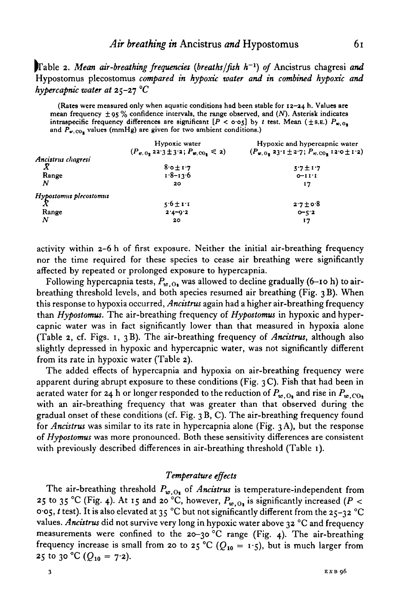Table 2. Mean air-breathing frequencies (breaths/fish h<sup>-1</sup>) of Ancistrus chagresi and Hypostomus plecostomus *compared in hypoxic water and in combined hypoxic and hypercapnic water at* 25-27 *°C*

**(Rates were measured only when aquatic conditions had been stable for 12-24 h- Values are mean frequency ± 95 % confidence intervals, the range observed, and** *(N).* **Asterisk indicates** intraspecific frequency differences are significant  $[P < \text{o-o}$ <sub>5</sub>] by *t* test. Mean ( $\pm$ s.E.)  $P_{w,0}$ . and  $P_{K,CO_4}$  values (mmHg) are given for two ambient conditions.)

|                        | Hypoxic water<br>$(P_{w, 0, 2} 2^2 \cdot 3 \pm 3^2 \cdot 2; P_{w, 00, \leq 2})$ | Hypoxic and hypercapnic water<br>$(P_{w, 0_2} 23.1 \pm 2.7; P_{w, 00_2} 12.0 \pm 1.2)$ |
|------------------------|---------------------------------------------------------------------------------|----------------------------------------------------------------------------------------|
| Ancistrus chagresi     |                                                                                 |                                                                                        |
|                        | $8.0 \pm 1.7$                                                                   | $5.7 + 1.7$                                                                            |
| Range                  | $1.8 - 13.6$                                                                    | $0 - 11$ <sup>-1</sup>                                                                 |
| N                      | 20                                                                              | 17                                                                                     |
| Hypostomus plecostomus |                                                                                 |                                                                                        |
|                        | $5.6 \pm 1.1$                                                                   | $2.7 + 0.8$                                                                            |
| Range                  | $2.4 - 9.2$                                                                     | $0 - 5.2$                                                                              |
| N                      | 20                                                                              | 17                                                                                     |

activity within 2-6 h of first exposure. Neither the initial air-breathing frequency nor the time required for these species to cease air breathing were significantly affected by repeated or prolonged exposure to hypercapnia.

Following hypercapnia tests,  $P_{w,0}$  was allowed to decline gradually (6-10 h) to airbreathing threshold levels, and both species resumed air breathing (Fig. 3 B). When this response to hypoxia occurred, *Ancistrus* again had a higher air-breathing frequency than *Hypostomus.* The air-breathing frequency of *Hypostomus* in hypoxic and hypercapnic water was in fact significantly lower than that measured in hypoxia alone (Table 2, cf. Figs. 1, 3B). The air-breathing frequency of *Ancistrus,* although also slightly depressed in hypoxic and hypercapnic water, was not significantly different from its rate in hypoxic water (Table 2).

The added effects of hypercapnia and hypoxia on air-breathing frequency were apparent during abrupt exposure to these conditions (Fig. 3 C). Fish that had been in aerated water for 24 h or longer responded to the reduction of  $P_{w,0}$  and rise in  $P_{w,0}$ with an air-breathing frequency that was greater than that observed during the gradual onset of these conditions (cf. Fig. 3 B, C). The air-breathing frequency found for *Ancistrus* was similar to its rate in hypercapnia alone (Fig. 3 A), but the response of *Hypostomus* was more pronounced. Both these sensitivity differences are consistent with previously described differences in air-breathing threshold (Table 1).

## *Temperature effects*

The air-breathing threshold  $P_{w,0}$  of *Ancistrus* is temperature-independent from 25 to 35 °C (Fig. 4). At 15 and 20 °C, however,  $P_{w, 0}$  is significantly increased (P < 0-05, *t* test). It is also elevated at 35 °C but not significantly different from the 25-32 °C values. *Ancistrus* did not survive very long in hypoxic water above 32 °C and frequency measurements were confined to the 20-30 °C range (Fig. 4). The air-breathing frequency increase is small from 20 to 25 °C ( $Q_{10} = 1.5$ ), but is much larger from 25 to 30 °C ( $Q_{10} = 7.2$ ).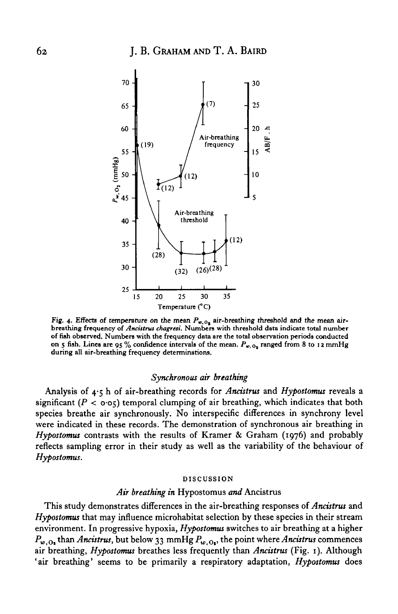

Fig. 4. Effects of temperature on the mean  $P_{w,0}$  air-breathing threshold and the mean air**breathing frequency of** *Ancistrus chagresi.* **Numbers with threshold data indicate total number of fish observed. Numbers with the frequency data are the total observation periods conducted** on 5 fish. Lines are 95 % confidence intervals of the mean.  $P_{w, 0<sub>1</sub>}$  ranged from 8 to 12 mmHg **during all air-breathing frequency determinations.**

### *Synchronous air breathing*

Analysis of 4-5 h of air-breathing records for *Ancistrus* and *Hypostomus* reveals a significant  $(P < o·o<sub>5</sub>)$  temporal clumping of air breathing, which indicates that both species breathe air synchronously. No interspecific differences in synchrony level were indicated in these records. The demonstration of synchronous air breathing in *Hypostomus* contrasts with the results of Kramer & Graham (1976) and probably reflects sampling error in their study as well as the variability of the behaviour of *Hypostomus.*

#### **DISCUSSION**

#### *Air breathing in* Hypostomus *and* Ancistrus

This study demonstrates differences in the air-breathing responses of *Ancistrus* and *Hypostomus* that may influence microhabitat selection by these species in their stream environment. In progressive hypoxia, *Hypostomus* switches to air breathing at a higher  $P_{w,0}$ , than *Ancistrus*, but below 33 mmHg  $P_{w,0}$ , the point where *Ancistrus* commences air breathing, *Hypostomus* breathes less frequently than *Ancistrus* (Fig. 1). Although 'air breathing' seems to be primarily a respiratory adaptation, *Hypostomus* does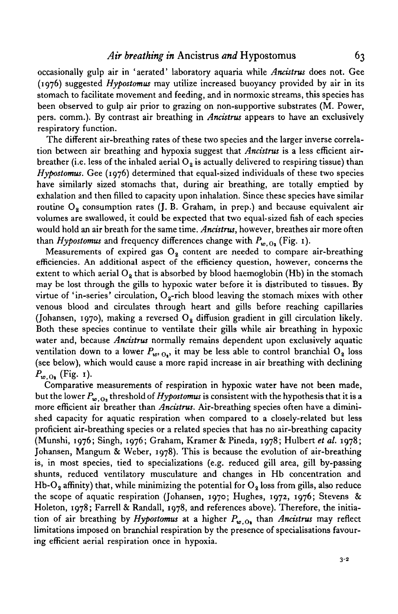occasionally gulp air in 'aerated' laboratory aquaria while *Ancistrus* does not. Gee (1976) suggested *Hypostomus* may utilize increased buoyancy provided by air in its stomach to facilitate movement and feeding, and in normoxic streams, this species has been observed to gulp air prior to grazing on non-supportive substrates (M. Power, pers. comm.). By contrast air breathing in *Ancistrus* appears to have an exclusively respiratory function.

The different air-breathing rates of these two species and the larger inverse correlation between air breathing and hypoxia suggest that *Ancistrus* is a less efficient airbreather (i.e. less of the inhaled aerial  $O_2$  is actually delivered to respiring tissue) than *Hypostomus.* Gee (1976) determined that equal-sized individuals of these two species have similarly sized stomachs that, during air breathing, are totally emptied by exhalation and then filled to capacity upon inhalation. Since these species have similar routine  $O_8$  consumption rates (J. B. Graham, in prep.) and because equivalent air volumes are swallowed, it could be expected that two equal-sized fish of each species would hold an air breath for the same time. *Ancistrus,* however, breathes air more often than *Hypostomus* and frequency differences change with  $P_{\omega, O_2}$  (Fig. 1).

Measurements of expired gas  $O<sub>2</sub>$  content are needed to compare air-breathing efficiencies. An additional aspect of the efficiency question, however, concerns the extent to which aerial  $O_8$  that is absorbed by blood haemoglobin (Hb) in the stomach may be lost through the gills to hypoxic water before it is distributed to tissues. By virtue of 'in-series' circulation,  $O<sub>2</sub>$ -rich blood leaving the stomach mixes with other venous blood and circulates through heart and gills before reaching capillaries (Johansen, 1970), making a reversed  $O<sub>2</sub>$  diffusion gradient in gill circulation likely. Both these species continue to ventilate their gills while air breathing in hypoxic water and, because *Ancistrus* normally remains dependent upon exclusively aquatic ventilation down to a lower  $P_{w_0, Q_0}$ , it may be less able to control branchial O<sub>2</sub> loss (see below), which would cause a more rapid increase in air breathing with declining  $P_{w,0}$ , (Fig. 1).

Comparative measurements of respiration in hypoxic water have not been made, but the lower  $P_{\omega, Q_2}$  threshold of *Hypostomus* is consistent with the hypothesis that it is a more efficient air breather than *Ancistrus.* Air-breathing species often have a diminished capacity for aquatic respiration when compared to a closely-related but less proficient air-breathing species or a related species that has no air-breathing capacity (Munshi, 1976; Singh, 1976; Graham, Kramer & Pineda, 1978; Hulbert *et al.* 1978; Johansen, Mangum & Weber, 1978). This is because the evolution of air-breathing is, in most species, tied to specializations (e.g. reduced gill area, gill by-passing shunts, reduced ventilatory musculature and changes in Hb concentration and Hb-O<sub>2</sub> affinity) that, while minimizing the potential for  $O_2$  loss from gills, also reduce the scope of aquatic respiration (Johansen, 1970; Hughes, 1972, 1976; Stevens & Holeton, 1978; Farrell & Randall, 1978, and references above). Therefore, the initiation of air breathing by *Hypostomus* at a higher  $P_{w, O_1}$  than *Ancistrus* may reflect limitations imposed on branchial respiration by the presence of specialisations favouring efficient aerial respiration once in hypoxia.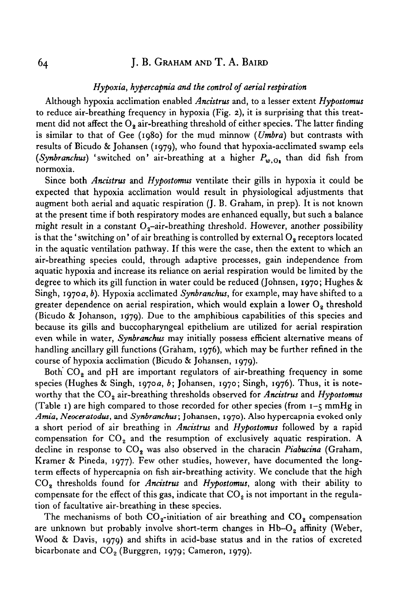# 64 J. B. GRAHAM AND T. A. BAIRD

## *Hypoxia, hypercapnia and the control of aerial respiration*

Although hypoxia acclimation enabled *Ancistrus* and, to a lesser extent *Hypostomus* to reduce air-breathing frequency in hypoxia (Fig. 2), it is surprising that this treatment did not affect the  $O<sub>2</sub>$  air-breathing threshold of either species. The latter finding is similar to that of Gee (1980) for the mud minnow *(Umbra)* but contrasts with results of Bicudo & Johansen (1979), who found that hypoxia-acclimated swamp eels (Synbranchus) 'switched on' air-breathing at a higher  $P_{w,0}$ , than did fish from normoxia.

Since both *Ancistrus* and *Hypostomus* ventilate their gills in hypoxia it could be expected that hypoxia acclimation would result in physiological adjustments that augment both aerial and aquatic respiration (J. B. Graham, in prep). It is not known at the present time if both respiratory modes are enhanced equally, but such a balance might result in a constant  $O<sub>2</sub>$ -air-breathing threshold. However, another possibility is that the 'switching on' of air breathing is controlled by external  $O<sub>9</sub>$  receptors located in the aquatic ventilation pathway. If this were the case, then the extent to which an air-breathing species could, through adaptive processes, gain independence from aquatic hypoxia and increase its reliance on aerial respiration would be limited by the degree to which its gill function in water could be reduced (Johnsen, 1970; Hughes & Singh, 1970a, *b).* Hypoxia acclimated *Synbranchus,* for example, may have shifted to a greater dependence on aerial respiration, which would explain a lower  $O<sub>2</sub>$  threshold (Bicudo & Johanson, 1979). Due to the amphibious capabilities of this species and because its gills and buccopharyngeal epithelium are utilized for aerial respiration even while in water, *Synbranchus* may initially possess efficient alternative means of handling ancillary gill functions (Graham, 1976), which may be further refined in the course of hypoxia acclimation (Bicudo & Johansen, 1979).

Both  $CO<sub>2</sub>$  and pH are important regulators of air-breathing frequency in some species (Hughes & Singh, 1970a, *b;* Johansen, 1970; Singh, 1976). Thus, it is noteworthy that the CO<sub>2</sub> air-breathing thresholds observed for *Ancistrus* and *Hypostomus* (Table 1) are high compared to those recorded for other species (from  $1-\xi$  mmHg in Amia, Neoceratodus, and *Synbranchus*; Johansen, 1970). Also hypercapnia evoked only a short period of air breathing in *Ancistrus* and *Hypostomus* followed by a rapid compensation for  $CO<sub>2</sub>$  and the resumption of exclusively aquatic respiration. A decline in response to  $CO<sub>2</sub>$  was also observed in the characin *Piabucina* (Graham, Kramer & Pineda, 1977). Few other studies, however, have documented the longterm effects of hypercapnia on fish air-breathing activity. We conclude that the high CO,, thresholds found for *Ancistrus* and *Hypostomus,* along with their ability to compensate for the effect of this gas, indicate that  $CO<sub>2</sub>$  is not important in the regulation of facultative air-breathing in these species.

The mechanisms of both  $CO<sub>2</sub>$ -initiation of air breathing and  $CO<sub>2</sub>$  compensation are unknown but probably involve short-term changes in  $Hb-O<sub>2</sub>$  affinity (Weber, Wood & Davis, 1979) and shifts in acid-base status and in the ratios of excreted bicarbonate and  $CO<sub>2</sub>$  (Burggren, 1979; Cameron, 1979).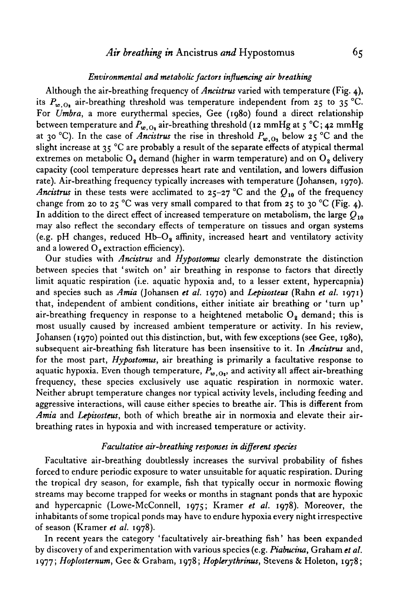### *Environmental and metabolic factors influencing air breathing*

Although the air-breathing frequency of *Ancistrus* varied with temperature (Fig. 4), its  $P_{w,0}$  air-breathing threshold was temperature independent from 25 to 35 °C. For *Umbra,* a more eurythermal species, Gee (1980) found a direct relationship between temperature and  $P_{w, 0}$ , air-breathing threshold (12 mmHg at 5 °C; 42 mmHg at 30 °C). In the case of *Ancistrus* the rise in threshold  $P_{w,0_1}$  below 25 °C and the slight increase at  $35 \text{ °C}$  are probably a result of the separate effects of atypical thermal extremes on metabolic  $O_8$  demand (higher in warm temperature) and on  $O_8$  delivery capacity (cool temperature depresses heart rate and ventilation, and lowers diffusion rate). Air-breathing frequency typically increases with temperature (Johansen, 1970). *Ancistrus* in these tests were acclimated to  $25-27$  °C and the  $Q_{10}$  of the frequency change from 20 to 25 °C was very small compared to that from 25 to 30 °C (Fig. 4). In addition to the direct effect of increased temperature on metabolism, the large *Q10* may also reflect the secondary effects of temperature on tissues and organ systems (e.g. pH changes, reduced  $Hb-O<sub>2</sub>$  affinity, increased heart and ventilatory activity and a lowered  $O<sub>2</sub>$  extraction efficiency).

Our studies with *Ancistrus* and *Hypostomus* clearly demonstrate the distinction between species that 'switch on' air breathing in response to factors that directly limit aquatic respiration (i.e. aquatic hypoxia and, to a lesser extent, hypercapnia) and species such as *Amia* (Johansen *et al.* 1970) and *Lepisosteus* (Rahn *et al.* 1971) that, independent of ambient conditions, either initiate air breathing or 'turn up' air-breathing frequency in response to a heightened metabolic  $O_2$  demand; this is most usually caused by increased ambient temperature or activity. In his review, Johansen (1970) pointed out this distinction, but, with few exceptions (see Gee, 1980), subsequent air-breathing fish literature has been insensitive to it. In *Ancistrus* and, for the most part, *Hypostomus,* air breathing is primarily a facultative response to aquatic hypoxia. Even though temperature,  $P_{w,01}$ , and activity all affect air-breathing frequency, these species exclusively use aquatic respiration in normoxic water. Neither abrupt temperature changes nor typical activity levels, including feeding and aggressive interactions, will cause either species to breathe air. This is different from *Amia* and *Lepisosteus,* both of which breathe air in normoxia and elevate their airbreathing rates in hypoxia and with increased temperature or activity.

#### *Facultative air-breathing responses in different species*

Facultative air-breathing doubtlessly increases the survival probability of fishes forced to endure periodic exposure to water unsuitable for aquatic respiration. During the tropical dry season, for example, fish that typically occur in normoxic flowing streams may become trapped for weeks or months in stagnant ponds that are hypoxic and hypercapnic (Lowe-McConnell, 1975; Kramer *et al.* 1978). Moreover, the inhabitants of some tropical ponds may have to endure hypoxia every night irrespective of season (Kramer *et al.* 1978).

In recent years the category 'facultatively air-breathing fish' has been expanded by discovery of and experimentation with various species (e.g. *Piabucina,* Graham *et al.* 1977; *Hoplosternum,* Gee & Graham, 1978; *Hoplerythrinus,* Stevens & Holeton, 1978;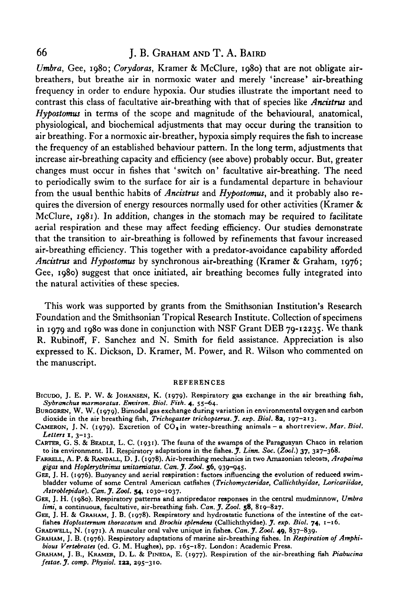# 66 J. B. GRAHAM AND T. A. BAIRD

*Umbra,* Gee, 1980; *Corydoras,* Kramer & McClure, 1980) that are not obligate airbreathers, but breathe air in normoxic water and merely 'increase' air-breathing frequency in order to endure hypoxia. Our studies illustrate the important need to contrast this class of facultative air-breathing with that of species like *Ancistrus* and *Hypostomus* in terms of the scope and magnitude of the behavioural, anatomical, physiological, and biochemical adjustments that may occur during the transition to air breathing. For a normoxic air-breather, hypoxia simply requires the fish to increase the frequency of an established behaviour pattern. In the long term, adjustments that increase air-breathing capacity and efficiency (see above) probably occur. But, greater changes must occur in fishes that 'switch on' facultative air-breathing. The need to periodically swim to the surface for air is a fundamental departure in behaviour from the usual benthic habits of *Ancistrus* and *Hypostomus,* and it probably also requires the diversion of energy resources normally used for other activities (Kramer  $\&$ McClure,  $1981$ ). In addition, changes in the stomach may be required to facilitate aerial respiration and these may affect feeding efficiency. Our studies demonstrate that the transition to air-breathing is followed by refinements that favour increased air-breathing efficiency. This together with a predator-avoidance capability afforded *Ancistrus* and *Hypostomus* by synchronous air-breathing (Kramer & Graham, 1976; Gee, 1980) suggest that once initiated, air breathing becomes fully integrated into the natural activities of these species.

This work was supported by grants from the Smithsonian Institution's Research Foundation and the Smithsonian Tropical Research Institute. Collection of specimens in 1979 and 1980 was done in conjunction with NSF Grant DEB 79-12235. We thank R. Rubinoff, F. Sanchez and N. Smith for field assistance. Appreciation is also expressed to K. Dickson, D. Kramer, M. Power, and R. Wilson who commented on the manuscript.

#### REFERENCES

- BICUDO, J. E. P. W. & JOHANSEN, K. (1979). Respiratory gas exchange in the air breathing fish, *Sybranchus nuxrmoratus. Environ. Biol. Fish.* 4, 55—64.
- dioxide in the air breathing fish, Trichogaster trichopterus. J. exp. Biol. 82, 197-213.<br>CAMERON, J. N. (1979). Excretion of CO<sub>1</sub> in water-breathing animals a short review. Mar. Biol.
- *Letters* I, 3-13.
- CARTER, G. S. & BEADLE, L. C. (1931). The fauna of the swamps of the Paraguayan Chaco in relation to its environment. II. Respiratory adaptations in the fishes. *J. Linn. Soc.* (Zoo/.) 37, 337-368.
- FARRELL, A. P. & RANDALL, D. J. (1978). Air-breathing mechanics in two Amazonian teleosts, *Arapaima gigas* and *Hoplerythrinut unitaerdatus. Can. J. Zool.* 56, 939-945.
- bladder volume of some Central American catfishes (Trichomycteridae, Callichthyidae, Loricariidae, *Astroblepidae). Can.jf. Zool.* 54, 1030-1037.
- GEE, J. H. (1980). Respiratory patterns and antipredator responses in the central mudminnow, *Umbra limi*, a continuous, facultative, air-breathing fish. Can. J. Zool. 58, 819–827.<br>GEE, J. H. & GRAHAM, J. B. (1978). Respiratory and hydrostatic functions of the intestine of the cat-
- fishes Hoplosternum thoracatum and Brochis splendens (Callichthyidae). J. exp. Biol. 74, 1-16.<br>GRADWELL, N. (1971). A muscular oral valve unique in fishes. Can. J. Zool. 49, 837-839.
- 
- GRAHAM, J. B. (1976). Respiratory adaptations of marine air-breathing fishes. In *Respiration of Amphi-*<br>bious Vertebrates (ed. G. M. Hughes), pp. 165-187. London: Academic Press.
- GRAHAM, J. B., KRAMER, D. L. & PINEDA, E. (1977). Respiration of the air-breathing fish Piabucina *festae.J. comp. Physiol.* **123,** 295-310.